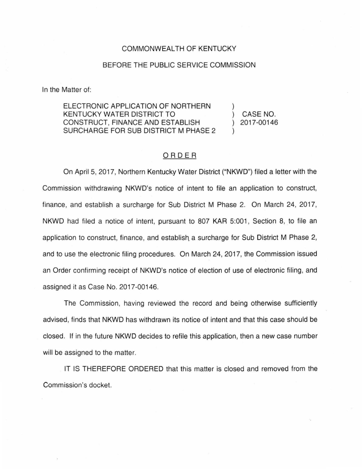## COMMONWEALTH OF KENTUCKY

## BEFORE THE PUBLIC SERVICE COMMISSION

In the Matter of:

ELECTRONIC APPLICATION OF NORTHERN KENTUCKY WATER DISTRICT TO CONSTRUCT, FINANCE AND ESTABLISH SURCHARGE FOR SUB DISTRICT M PHASE 2 ) ) CASE NO. ) 2017-00146 )

## ORDER

On April 5, 2017, Northern Kentucky Water District ("NKWD") filed a letter with the Commission withdrawing NKWD's notice of intent to file an application to construct, finance, and establish a surcharge for Sub District M Phase 2. On March 24, 2017, NKWD had filed a notice of intent, pursuant to 807 KAR 5:001, Section 8, to file an application to construct, finance, and establish a surcharge for Sub District M Phase 2, and to use the electronic filing procedures. On March 24, 2017, the Commission issued an Order confirming receipt of NKWD's notice of election of use of electronic filing, and assigned it as Case No. 2017-00146.

The Commission, having reviewed the record and being otherwise sufficiently advised, finds that NKWD has withdrawn its notice of intent and that this case should be closed. If in the future NKWD decides to refile this application, then a new case number will be assigned to the matter.

IT IS THEREFORE ORDERED that this matter is closed and removed from the Commission's docket.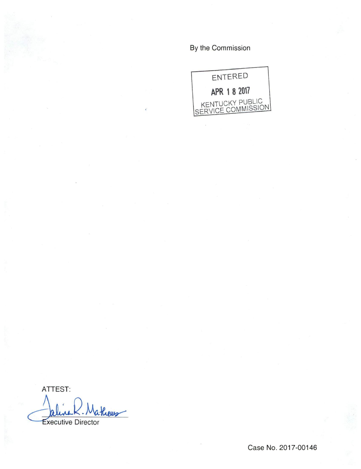By the Commission



ATTEST:

Rieus Executive Director

Case No. 2017-00146